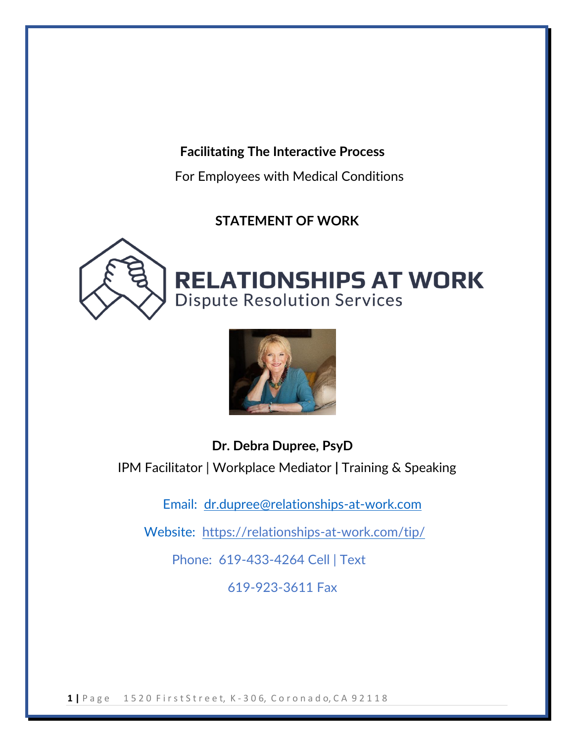## **Facilitating The Interactive Process**

For Employees with Medical Conditions

## **STATEMENT OF WORK**





## **Dr. Debra Dupree, PsyD** IPM Facilitator | Workplace Mediator **|** Training & Speaking

Email: dr.dupree@relationships-at-work.com

Website: https://relationships-at-work.com/tip/

Phone: 619-433-4264 Cell | Text

619-923-3611 Fax

**1 |** P a g e 1 5 2 0 F i r s t S t r e e t, K - 3 0 6, C o r o n a d o, C A 9 2 1 1 8

l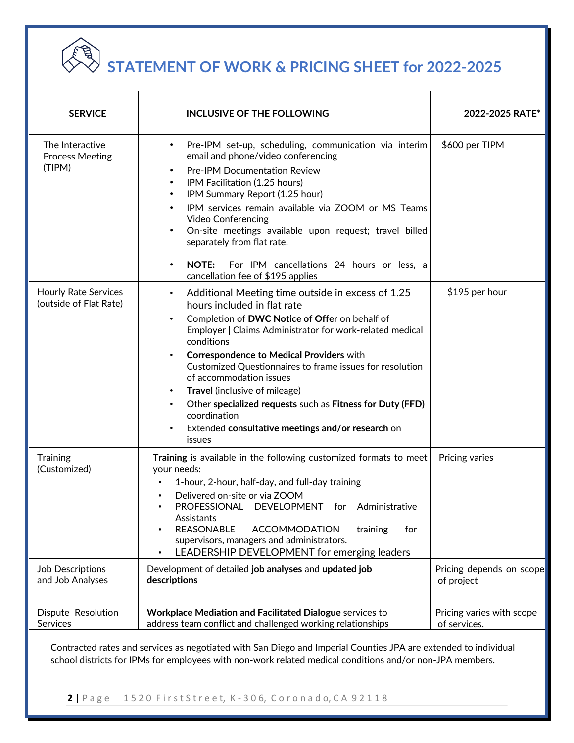

l

## **STATEMENT OF WORK & PRICING SHEET for 2022-2025**

| <b>SERVICE</b>                                        | <b>INCLUSIVE OF THE FOLLOWING</b>                                                                                                                                                                                                                                                                                                                                                                                                                                                                                                                                                                                               | 2022-2025 RATE*                           |
|-------------------------------------------------------|---------------------------------------------------------------------------------------------------------------------------------------------------------------------------------------------------------------------------------------------------------------------------------------------------------------------------------------------------------------------------------------------------------------------------------------------------------------------------------------------------------------------------------------------------------------------------------------------------------------------------------|-------------------------------------------|
| The Interactive<br><b>Process Meeting</b><br>(TIPM)   | Pre-IPM set-up, scheduling, communication via interim<br>$\bullet$<br>email and phone/video conferencing<br><b>Pre-IPM Documentation Review</b><br>٠<br>IPM Facilitation (1.25 hours)<br>$\bullet$<br>IPM Summary Report (1.25 hour)<br>$\bullet$<br>IPM services remain available via ZOOM or MS Teams<br>$\bullet$<br><b>Video Conferencing</b><br>On-site meetings available upon request; travel billed<br>$\bullet$<br>separately from flat rate.<br><b>NOTE:</b><br>For IPM cancellations 24 hours or less, a<br>$\bullet$<br>cancellation fee of \$195 applies                                                           | \$600 per TIPM                            |
| <b>Hourly Rate Services</b><br>(outside of Flat Rate) | Additional Meeting time outside in excess of 1.25<br>$\bullet$<br>hours included in flat rate<br>Completion of DWC Notice of Offer on behalf of<br>$\bullet$<br>Employer   Claims Administrator for work-related medical<br>conditions<br><b>Correspondence to Medical Providers with</b><br>$\bullet$<br>Customized Questionnaires to frame issues for resolution<br>of accommodation issues<br><b>Travel</b> (inclusive of mileage)<br>$\bullet$<br>Other specialized requests such as Fitness for Duty (FFD)<br>$\bullet$<br>coordination<br>Extended consultative meetings and/or research on<br>$\bullet$<br><i>issues</i> | \$195 per hour                            |
| Training<br>(Customized)                              | Training is available in the following customized formats to meet<br>your needs:<br>1-hour, 2-hour, half-day, and full-day training<br>Delivered on-site or via ZOOM<br>PROFESSIONAL DEVELOPMENT for Administrative<br>$\bullet$<br>Assistants<br>REASONABLE<br><b>ACCOMMODATION</b><br>training<br>for<br>٠<br>supervisors, managers and administrators.<br>LEADERSHIP DEVELOPMENT for emerging leaders                                                                                                                                                                                                                        | Pricing varies                            |
| Job Descriptions<br>and Job Analyses                  | Development of detailed job analyses and updated job<br>descriptions                                                                                                                                                                                                                                                                                                                                                                                                                                                                                                                                                            | Pricing depends on scope<br>of project    |
| Dispute Resolution<br>Services                        | Workplace Mediation and Facilitated Dialogue services to<br>address team conflict and challenged working relationships                                                                                                                                                                                                                                                                                                                                                                                                                                                                                                          | Pricing varies with scope<br>of services. |

Contracted rates and services as negotiated with San Diego and Imperial Counties JPA are extended to individual school districts for IPMs for employees with non-work related medical conditions and/or non-JPA members.

**2 |** P a g e 1 5 2 0 F i r s t S t r e e t, K - 3 0 6, C o r o n a d o, C A 9 2 1 1 8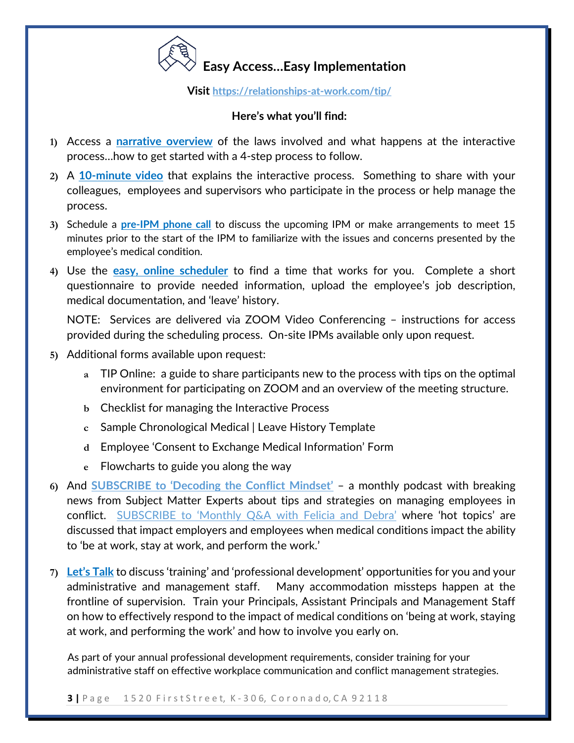

**Visit <https://relationships-at-work.com/tip/>**

## **Here's what you'll find:**

- **1)** Access a **[narrative overview](https://relationships-at-work.com/tip/)** [of](https://relationships-at-work.com/the-interactive-process-for-reasonable-accommodation/) the laws involved and what happens at the interactive process…how to get started with a 4-step process to follow.
- **2)** A **[10-minute video](https://youtu.be/hiCKM6cT18Y)** [th](https://relationships-at-work.com/the-interactive-process-for-reasonable-accommodation/)at explains the interactive process. Something to share with your colleagues, employees and supervisors who participate in the process or help manage the process.
- **3)** Schedule a **[pre-IPM phone call](https://meetwithdebradupree.as.me/15minutePre-IPMConsult)** [to](https://meetwiththemindsetdocdebradupree.as.me/SchedulingTIPM) discuss the upcoming IPM or make arrangements to meet 15 minutes prior to the start of the IPM to familiarize with the issues and concerns presented by the employee's medical condition.
- **4)** Use the **[easy, online scheduler](https://meetwithdebradupree.as.me/IPMviaVIDEO)** to find a time that works for you. Complete a short questionnaire to provide needed information, upload the employee's job description, medical documentation, and 'leave' history.

NOTE: Services are delivered via ZOOM Video Conferencing – instructions for access provided during the scheduling process. On-site IPMs available only upon request.

**5)** Additional forms available upon request:

l

- **a** TIP Online: a guide to share participants new to the process with tips on the optimal environment for participating on ZOOM and an overview of the meeting structure.
- **b** Checklist for managing the Interactive Process
- **c** Sample Chronological Medical | Leave History Template
- **d** Employee 'Consent to Exchange Medical Information' Form
- **e** Flowcharts to guide you along the way
- **6)** And **[SUBSCRIBE to 'Decoding the Conflict Mindset'](https://relationships-at-work.com/subscribe/)** [–](https://relationships-at-work.com/podcasts/) a monthly podcast with breaking news from Subject Matter Experts about tips and strategies on managing employees in conflict. SUBSCRIBE to '[Monthly Q&A with Felicia and Debra](https://relationships-at-work.com/subscribe/)' where 'hot topics' are discussed that impact employers and employees when medical conditions impact the ability to 'be at work, stay at work, and perform the work.'
- **7) [Let's Talk](https://meetwithdebradupree.as.me/LetsTalk)** to discuss 'training' and 'professional development' opportunities for you and your administrative and management staff. Many accommodation missteps happen at the frontline of supervision. Train your Principals, Assistant Principals and Management Staff on how to effectively respond to the impact of medical conditions on 'being at work, staying at work, and performing the work' and how to involve you early on.

As part of your annual professional development requirements, consider training for your administrative staff on effective workplace communication and conflict management strategies.

**3** | Page 1520 First Street, K-306, Coronado, CA 92118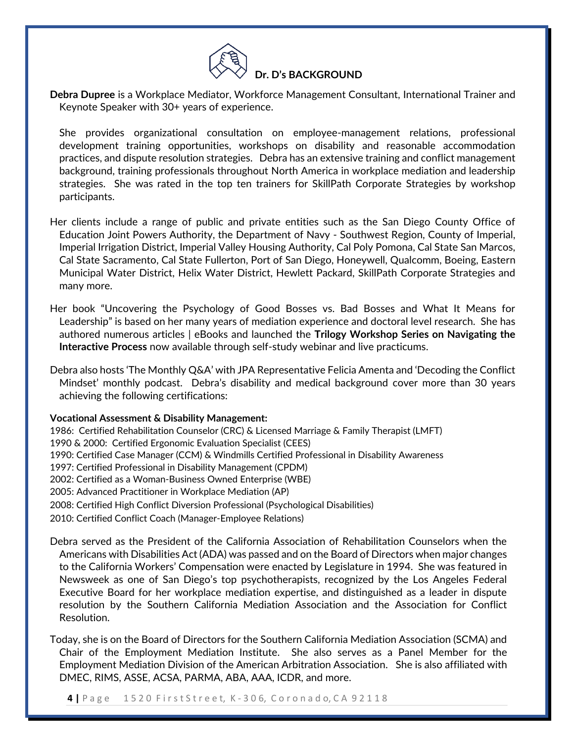

**Debra Dupree** is a Workplace Mediator, Workforce Management Consultant, International Trainer and Keynote Speaker with 30+ years of experience.

She provides organizational consultation on employee-management relations, professional development training opportunities, workshops on disability and reasonable accommodation practices, and dispute resolution strategies. Debra has an extensive training and conflict management background, training professionals throughout North America in workplace mediation and leadership strategies. She was rated in the top ten trainers for SkillPath Corporate Strategies by workshop participants.

- Her clients include a range of public and private entities such as the San Diego County Office of Education Joint Powers Authority, the Department of Navy - Southwest Region, County of Imperial, Imperial Irrigation District, Imperial Valley Housing Authority, Cal Poly Pomona, Cal State San Marcos, Cal State Sacramento, Cal State Fullerton, Port of San Diego, Honeywell, Qualcomm, Boeing, Eastern Municipal Water District, Helix Water District, Hewlett Packard, SkillPath Corporate Strategies and many more.
- Her book "Uncovering the Psychology of Good Bosses vs. Bad Bosses and What It Means for Leadership" is based on her many years of mediation experience and doctoral level research. She has authored numerous articles | eBooks and launched the **Trilogy Workshop Series on Navigating the Interactive Process** now available through self-study webinar and live practicums.
- Debra also hosts 'The Monthly Q&A' with JPA Representative Felicia Amenta and 'Decoding the Conflict Mindset' monthly podcast. Debra's disability and medical background cover more than 30 years achieving the following certifications:

## **Vocational Assessment & Disability Management:**

1986: Certified Rehabilitation Counselor (CRC) & Licensed Marriage & Family Therapist (LMFT)

- 1990 & 2000: Certified Ergonomic Evaluation Specialist (CEES)
- 1990: Certified Case Manager (CCM) & Windmills Certified Professional in Disability Awareness
- 1997: Certified Professional in Disability Management (CPDM)
- 2002: Certified as a Woman-Business Owned Enterprise (WBE)
- 2005: Advanced Practitioner in Workplace Mediation (AP)

l

- 2008: Certified High Conflict Diversion Professional (Psychological Disabilities)
- 2010: Certified Conflict Coach (Manager-Employee Relations)

Debra served as the President of the California Association of Rehabilitation Counselors when the Americans with Disabilities Act (ADA) was passed and on the Board of Directors when major changes to the California Workers' Compensation were enacted by Legislature in 1994. She was featured in Newsweek as one of San Diego's top psychotherapists, recognized by the Los Angeles Federal Executive Board for her workplace mediation expertise, and distinguished as a leader in dispute resolution by the Southern California Mediation Association and the Association for Conflict Resolution.

Today, she is on the Board of Directors for the Southern California Mediation Association (SCMA) and Chair of the Employment Mediation Institute. She also serves as a Panel Member for the Employment Mediation Division of the American Arbitration Association. She is also affiliated with DMEC, RIMS, ASSE, ACSA, PARMA, ABA, AAA, ICDR, and more.

**4 |** P a g e 1 5 2 0 F i r s t S t r e e t, K - 3 0 6, C o r o n a d o, C A 9 2 1 1 8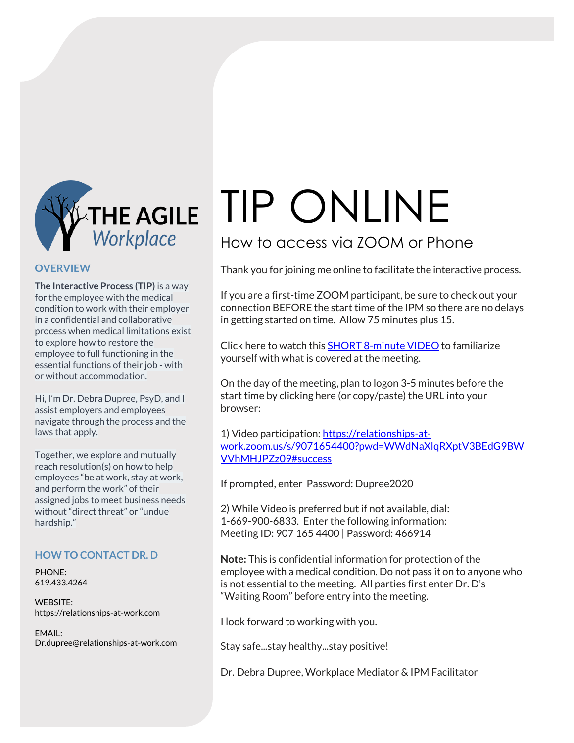

## **OVERVIEW**

**The Interactive Process (TIP)** is a way for the employee with the medical condition to work with their employer in a confidential and collaborative process when medical limitations exist to explore how to restore the employee to full functioning in the essential functions of their job - with or without accommodation.

Hi, I'm Dr. Debra Dupree, PsyD, and I assist employers and employees navigate through the process and the laws that apply.

Together, we explore and mutually reach resolution(s) on how to help employees "be at work, stay at work, and perform the work" of their assigned jobs to meet business needs without "direct threat" or "undue hardship."

## **HOW TO CONTACT DR. D**

PHONE: 619.433.4264

WEBSITE: https://relationships-at-work.com

EMAIL: Dr.dupree@relationships-at-work.com

# TIP ONLINE

## How to access via ZOOM or Phone

Thank you for joining me online to facilitate the interactive process.

If you are a first-time ZOOM participant, be sure to check out your connection BEFORE the start time of the IPM so there are no delays in getting started on time. Allow 75 minutes plus 15.

Click here to watch this **SHORT [8-minute](https://relationships-at-work.com/the-interactive-...) VIDEO** to familiarize yourself with what is covered at the meeting.

On the day of the meeting, plan to logon 3-5 minutes before the start time by clicking here (or copy/paste) the URL into your browser:

1) Video participation: [https://relationships-at](https://relationships-at-work.zoom.us/j/9071654400?pwd=WWdNaXlqRXptV3BEdG9BWVVhMHJPZz09)[work.zoom.us/s/9071654400?pwd=WWdNaXlqRXptV3BEdG9BW](https://relationships-at-work.zoom.us/j/9071654400?pwd=WWdNaXlqRXptV3BEdG9BWVVhMHJPZz09) [VVhMHJPZz09#success](https://relationships-at-work.zoom.us/j/9071654400?pwd=WWdNaXlqRXptV3BEdG9BWVVhMHJPZz09)

If prompted, enter Password: Dupree2020

2) While Video is preferred but if not available, dial: 1-669-900-6833. Enter the following information: Meeting ID: 907 165 4400 | Password: 466914

**Note:** This is confidential information for protection of the employee with a medical condition. Do not pass it on to anyone who is not essential to the meeting. All parties first enter Dr. D's "Waiting Room" before entry into the meeting.

I look forward to working with you.

Stay safe...stay healthy...stay positive!

Dr. Debra Dupree, Workplace Mediator & IPM Facilitator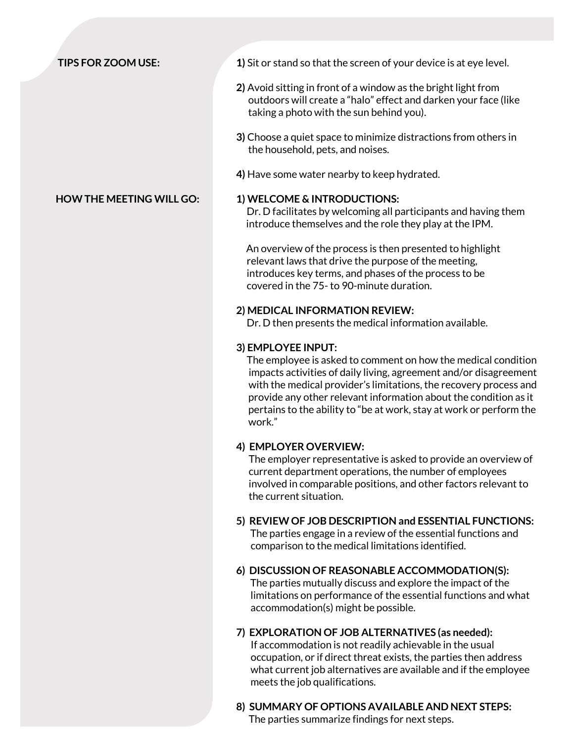- **TIPS FOR ZOOM USE: 1)** Sit or stand so that the screen of your device is at eye level.
	- **2)** Avoid sitting in front of a window as the bright light from outdoors will create a "halo" effect and darken your face (like taking a photo with the sun behind you).
	- **3)** Choose a quiet space to minimize distractions from others in the household, pets, and noises.
	- **4)** Have some water nearby to keep hydrated.

## **HOW THE MEETING WILL GO: 1) WELCOME & INTRODUCTIONS:**

 Dr. D facilitates by welcoming all participants and having them introduce themselves and the role they play at the IPM.

An overview of the process is then presented to highlight relevant laws that drive the purpose of the meeting, introduces key terms, and phases of the process to be covered in the 75- to 90-minute duration.

## **2) MEDICAL INFORMATION REVIEW:**

Dr. D then presents the medical information available.

## **3) EMPLOYEE INPUT:**

The employee is asked to comment on how the medical condition impacts activities of daily living, agreement and/or disagreement with the medical provider's limitations, the recovery process and provide any other relevant information about the condition as it pertains to the ability to "be at work, stay at work or perform the work."

## **4) EMPLOYER OVERVIEW:**

The employer representative is asked to provide an overview of current department operations, the number of employees involved in comparable positions, and other factors relevant to the current situation.

## **5) REVIEW OF JOB DESCRIPTION and ESSENTIAL FUNCTIONS:**

The parties engage in a review of the essential functions and comparison to the medical limitations identified.

**6) DISCUSSION OF REASONABLE ACCOMMODATION(S):** The parties mutually discuss and explore the impact of the

 limitations on performance of the essential functions and what accommodation(s) might be possible.

## **7) EXPLORATION OF JOB ALTERNATIVES (as needed):** If accommodation is not readily achievable in the usual occupation, or if direct threat exists, the parties then address what current job alternatives are available and if the employee meets the job qualifications.

**8) SUMMARY OF OPTIONS AVAILABLE AND NEXT STEPS:** The parties summarize findings for next steps.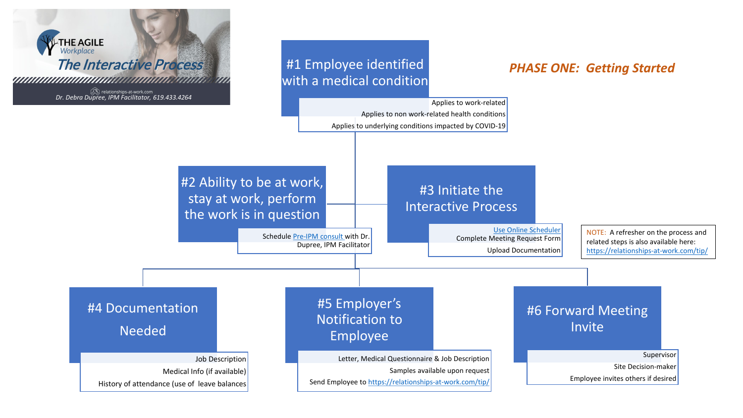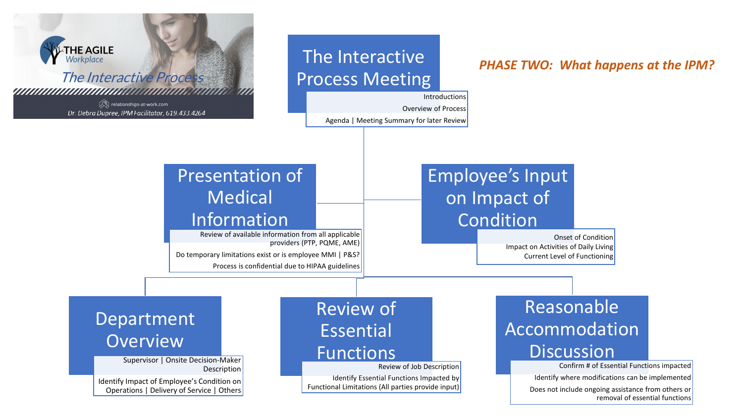## *PHASE TWO: What happens at the IPM?*



Agenda | Meeting Summary for later Review

Overview of Process

Workplace The Interactive Process relationships-at-work.com Dr. Debra Dupree, IPM Facilitator, 619.433.4264

**THE AGILE**